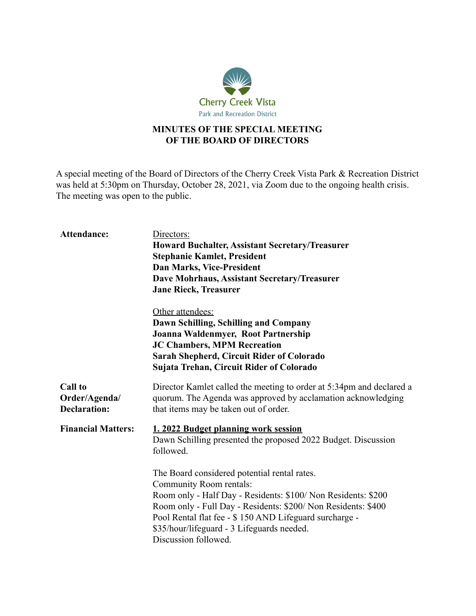

## **MINUTES OF THE SPECIAL MEETING OF THE BOARD OF DIRECTORS**

A special meeting of the Board of Directors of the Cherry Creek Vista Park & Recreation District was held at 5:30pm on Thursday, October 28, 2021, via Zoom due to the ongoing health crisis. The meeting was open to the public.

| Attendance:                                            | Directors:<br><b>Howard Buchalter, Assistant Secretary/Treasurer</b><br><b>Stephanie Kamlet, President</b><br><b>Dan Marks, Vice-President</b><br>Dave Mohrhaus, Assistant Secretary/Treasurer<br><b>Jane Rieck, Treasurer</b>                                                                                                                                                                                                                                 |
|--------------------------------------------------------|----------------------------------------------------------------------------------------------------------------------------------------------------------------------------------------------------------------------------------------------------------------------------------------------------------------------------------------------------------------------------------------------------------------------------------------------------------------|
|                                                        | Other attendees:<br>Dawn Schilling, Schilling and Company<br>Joanna Waldenmyer, Root Partnership<br><b>JC Chambers, MPM Recreation</b><br><b>Sarah Shepherd, Circuit Rider of Colorado</b><br>Sujata Trehan, Circuit Rider of Colorado                                                                                                                                                                                                                         |
| <b>Call to</b><br>Order/Agenda/<br><b>Declaration:</b> | Director Kamlet called the meeting to order at 5:34pm and declared a<br>quorum. The Agenda was approved by acclamation acknowledging<br>that items may be taken out of order.                                                                                                                                                                                                                                                                                  |
| <b>Financial Matters:</b>                              | 1. 2022 Budget planning work session<br>Dawn Schilling presented the proposed 2022 Budget. Discussion<br>followed.<br>The Board considered potential rental rates.<br>Community Room rentals:<br>Room only - Half Day - Residents: \$100/Non Residents: \$200<br>Room only - Full Day - Residents: \$200/ Non Residents: \$400<br>Pool Rental flat fee - \$150 AND Lifeguard surcharge -<br>\$35/hour/lifeguard - 3 Lifeguards needed.<br>Discussion followed. |